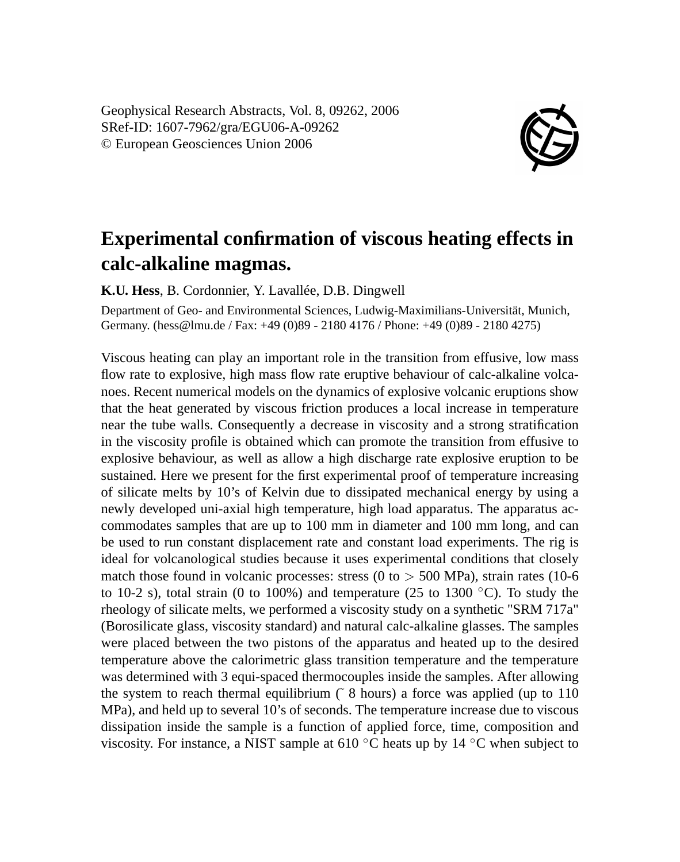Geophysical Research Abstracts, Vol. 8, 09262, 2006 SRef-ID: 1607-7962/gra/EGU06-A-09262 © European Geosciences Union 2006



## **Experimental confirmation of viscous heating effects in calc-alkaline magmas.**

**K.U. Hess**, B. Cordonnier, Y. Lavallée, D.B. Dingwell

Department of Geo- and Environmental Sciences, Ludwig-Maximilians-Universität, Munich, Germany. (hess@lmu.de / Fax: +49 (0)89 - 2180 4176 / Phone: +49 (0)89 - 2180 4275)

Viscous heating can play an important role in the transition from effusive, low mass flow rate to explosive, high mass flow rate eruptive behaviour of calc-alkaline volcanoes. Recent numerical models on the dynamics of explosive volcanic eruptions show that the heat generated by viscous friction produces a local increase in temperature near the tube walls. Consequently a decrease in viscosity and a strong stratification in the viscosity profile is obtained which can promote the transition from effusive to explosive behaviour, as well as allow a high discharge rate explosive eruption to be sustained. Here we present for the first experimental proof of temperature increasing of silicate melts by 10's of Kelvin due to dissipated mechanical energy by using a newly developed uni-axial high temperature, high load apparatus. The apparatus accommodates samples that are up to 100 mm in diameter and 100 mm long, and can be used to run constant displacement rate and constant load experiments. The rig is ideal for volcanological studies because it uses experimental conditions that closely match those found in volcanic processes: stress  $(0 \text{ to } > 500 \text{ MPa})$ , strain rates (10-6) to 10-2 s), total strain (0 to 100%) and temperature (25 to 1300  $\degree$ C). To study the rheology of silicate melts, we performed a viscosity study on a synthetic "SRM 717a" (Borosilicate glass, viscosity standard) and natural calc-alkaline glasses. The samples were placed between the two pistons of the apparatus and heated up to the desired temperature above the calorimetric glass transition temperature and the temperature was determined with 3 equi-spaced thermocouples inside the samples. After allowing the system to reach thermal equilibrium  $(8 \text{ hours})$  a force was applied (up to 110) MPa), and held up to several 10's of seconds. The temperature increase due to viscous dissipation inside the sample is a function of applied force, time, composition and viscosity. For instance, a NIST sample at 610 ◦C heats up by 14 ◦C when subject to